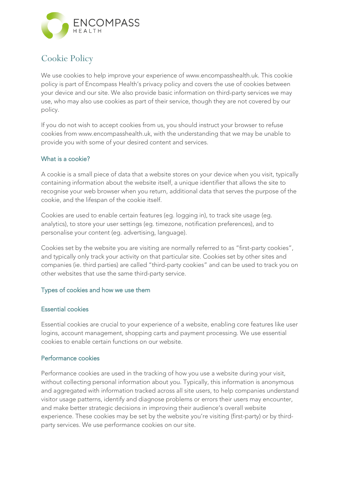

# **Cookie Policy**

We use cookies to help improve your experience of www.encompasshealth.uk. This cookie policy is part of Encompass Health's privacy policy and covers the use of cookies between your device and our site. We also provide basic information on third-party services we may use, who may also use cookies as part of their service, though they are not covered by our policy.

If you do not wish to accept cookies from us, you should instruct your browser to refuse cookies from www.encompasshealth.uk, with the understanding that we may be unable to provide you with some of your desired content and services.

# What is a cookie?

A cookie is a small piece of data that a website stores on your device when you visit, typically containing information about the website itself, a unique identifier that allows the site to recognise your web browser when you return, additional data that serves the purpose of the cookie, and the lifespan of the cookie itself.

Cookies are used to enable certain features (eg. logging in), to track site usage (eg. analytics), to store your user settings (eg. timezone, notification preferences), and to personalise your content (eg. advertising, language).

Cookies set by the website you are visiting are normally referred to as "first-party cookies", and typically only track your activity on that particular site. Cookies set by other sites and companies (ie. third parties) are called "third-party cookies" and can be used to track you on other websites that use the same third-party service.

# Types of cookies and how we use them

# Essential cookies

Essential cookies are crucial to your experience of a website, enabling core features like user logins, account management, shopping carts and payment processing. We use essential cookies to enable certain functions on our website.

# Performance cookies

Performance cookies are used in the tracking of how you use a website during your visit, without collecting personal information about you. Typically, this information is anonymous and aggregated with information tracked across all site users, to help companies understand visitor usage patterns, identify and diagnose problems or errors their users may encounter, and make better strategic decisions in improving their audience's overall website experience. These cookies may be set by the website you're visiting (first-party) or by thirdparty services. We use performance cookies on our site.